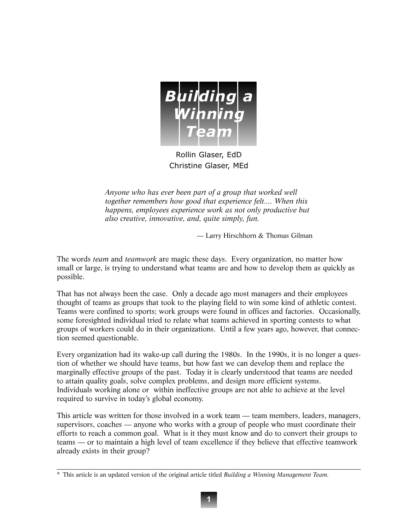

Rollin Glaser, EdD Christine Glaser, MEd

*Anyone who has ever been part of a group that worked well together remembers how good that experience felt.... When this happens, employees experience work as not only productive but also creative, innovative, and, quite simply, fun.*

— Larry Hirschhorn & Thomas Gilman

The words *team* and *teamwork* are magic these days. Every organization, no matter how small or large, is trying to understand what teams are and how to develop them as quickly as possible.

That has not always been the case. Only a decade ago most managers and their employees thought of teams as groups that took to the playing field to win some kind of athletic contest. Teams were confined to sports; work groups were found in offices and factories. Occasionally, some foresighted individual tried to relate what teams achieved in sporting contests to what groups of workers could do in their organizations. Until a few years ago, however, that connection seemed questionable.

Every organization had its wake-up call during the 1980s. In the 1990s, it is no longer a question of whether we should have teams, but how fast we can develop them and replace the marginally effective groups of the past. Today it is clearly understood that teams are needed to attain quality goals, solve complex problems, and design more efficient systems. Individuals working alone or within ineffective groups are not able to achieve at the level required to survive in today's global economy.

This article was written for those involved in a work team — team members, leaders, managers, supervisors, coaches — anyone who works with a group of people who must coordinate their efforts to reach a common goal. What is it they must know and do to convert their groups to teams — or to maintain a high level of team excellence if they believe that effective teamwork already exists in their group?

<sup>\*</sup> This article is an updated version of the original article titled *Building a Winning Management Team.*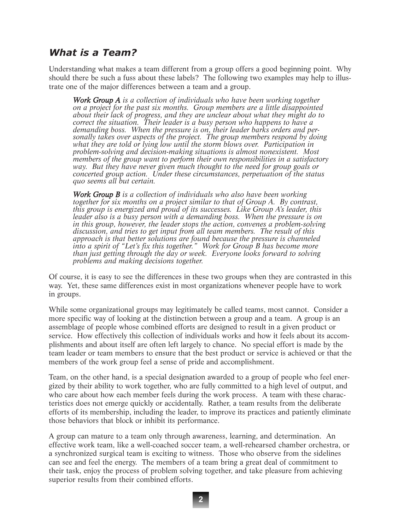## What is a Team?

Understanding what makes a team different from a group offers a good beginning point. Why should there be such a fuss about these labels? The following two examples may help to illustrate one of the major differences between a team and a group.

*Work Group A is a collection of individuals who have been working together on a project for the past six months. Group members are a little disappointed about their lack of progress, and they are unclear about what they might do to correct the situation. Their leader is a busy person who happens to have a demanding boss. When the pressure is on, their leader barks orders and personally takes over aspects of the project. The group members respond by doing what they are told or lying low until the storm blows over. Participation in problem-solving and decision-making situations is almost nonexistent. Most members of the group want to perform their own responsibilities in a satisfactory way. But they have never given much thought to the need for group goals or concerted group action. Under these circumstances, perpetuation of the status quo seems all but certain.*

*Work Group B is a collection of individuals who also have been working together for six months on a project similar to that of Group A. By contrast, this group is energized and proud of its successes. Like Group A's leader, this leader also is a busy person with a demanding boss. When the pressure is on in this group, however, the leader stops the action, convenes a problem-solving discussion, and tries to get input from all team members. The result of this approach is that better solutions are found because the pressure is channeled into a spirit of "Let's fix this together." Work for Group B has become more than just getting through the day or week. Everyone looks forward to solving problems and making decisions together.*

Of course, it is easy to see the differences in these two groups when they are contrasted in this way. Yet, these same differences exist in most organizations whenever people have to work in groups.

While some organizational groups may legitimately be called teams, most cannot. Consider a more specific way of looking at the distinction between a group and a team. A group is an assemblage of people whose combined efforts are designed to result in a given product or service. How effectively this collection of individuals works and how it feels about its accomplishments and about itself are often left largely to chance. No special effort is made by the team leader or team members to ensure that the best product or service is achieved or that the members of the work group feel a sense of pride and accomplishment.

Team, on the other hand, is a special designation awarded to a group of people who feel energized by their ability to work together, who are fully committed to a high level of output, and who care about how each member feels during the work process. A team with these characteristics does not emerge quickly or accidentally. Rather, a team results from the deliberate efforts of its membership, including the leader, to improve its practices and patiently eliminate those behaviors that block or inhibit its performance.

A group can mature to a team only through awareness, learning, and determination. An effective work team, like a well-coached soccer team, a well-rehearsed chamber orchestra, or a synchronized surgical team is exciting to witness. Those who observe from the sidelines can see and feel the energy. The members of a team bring a great deal of commitment to their task, enjoy the process of problem solving together, and take pleasure from achieving superior results from their combined efforts.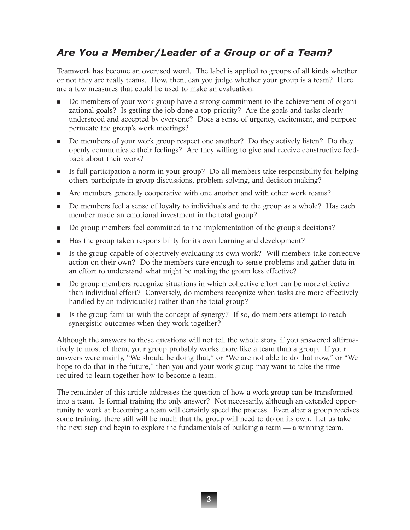# Are You a Member/Leader of a Group or of a Team?

Teamwork has become an overused word. The label is applied to groups of all kinds whether or not they are really teams. How, then, can you judge whether your group is a team? Here are a few measures that could be used to make an evaluation.

- Do members of your work group have a strong commitment to the achievement of organizational goals? Is getting the job done a top priority? Are the goals and tasks clearly understood and accepted by everyone? Does a sense of urgency, excitement, and purpose permeate the group's work meetings?
- Do members of your work group respect one another? Do they actively listen? Do they openly communicate their feelings? Are they willing to give and receive constructive feedback about their work?
- Is full participation a norm in your group? Do all members take responsibility for helping others participate in group discussions, problem solving, and decision making?
- Are members generally cooperative with one another and with other work teams?
- Do members feel a sense of loyalty to individuals and to the group as a whole? Has each member made an emotional investment in the total group?
- Do group members feel committed to the implementation of the group's decisions?
- Has the group taken responsibility for its own learning and development?
- Is the group capable of objectively evaluating its own work? Will members take corrective action on their own? Do the members care enough to sense problems and gather data in an effort to understand what might be making the group less effective?
- Do group members recognize situations in which collective effort can be more effective than individual effort? Conversely, do members recognize when tasks are more effectively handled by an individual(s) rather than the total group?
- Is the group familiar with the concept of synergy? If so, do members attempt to reach synergistic outcomes when they work together?

Although the answers to these questions will not tell the whole story, if you answered affirmatively to most of them, your group probably works more like a team than a group. If your answers were mainly, "We should be doing that," or "We are not able to do that now," or "We hope to do that in the future," then you and your work group may want to take the time required to learn together how to become a team.

The remainder of this article addresses the question of how a work group can be transformed into a team. Is formal training the only answer? Not necessarily, although an extended opportunity to work at becoming a team will certainly speed the process. Even after a group receives some training, there still will be much that the group will need to do on its own. Let us take the next step and begin to explore the fundamentals of building a team — a winning team.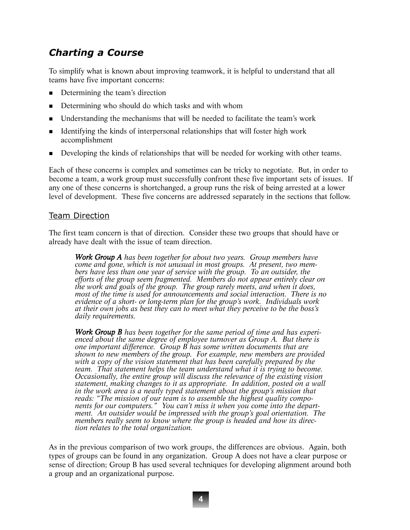# Charting a Course

To simplify what is known about improving teamwork, it is helpful to understand that all teams have five important concerns:

- Determining the team's direction
- Determining who should do which tasks and with whom
- Understanding the mechanisms that will be needed to facilitate the team's work
- If Identifying the kinds of interpersonal relationships that will foster high work accomplishment
- Developing the kinds of relationships that will be needed for working with other teams.

Each of these concerns is complex and sometimes can be tricky to negotiate. But, in order to become a team, a work group must successfully confront these five important sets of issues. If any one of these concerns is shortchanged, a group runs the risk of being arrested at a lower level of development. These five concerns are addressed separately in the sections that follow.

### Team Direction

The first team concern is that of direction. Consider these two groups that should have or already have dealt with the issue of team direction.

*Work Group A has been together for about two years. Group members have come and gone, which is not unusual in most groups. At present, two members have less than one year of service with the group. To an outsider, the efforts of the group seem fragmented. Members do not appear entirely clear on the work and goals of the group. The group rarely meets, and when it does, most of the time is used for announcements and social interaction. There is no evidence of a short- or long-term plan for the group's work. Individuals work at their own jobs as best they can to meet what they perceive to be the boss's daily requirements.*

*Work Group B has been together for the same period of time and has experienced about the same degree of employee turnover as Group A. But there is one important difference. Group B has some written documents that are shown to new members of the group. For example, new members are provided with a copy of the vision statement that has been carefully prepared by the team. That statement helps the team understand what it is trying to become. Occasionally, the entire group will discuss the relevance of the existing vision statement, making changes to it as appropriate. In addition, posted on a wall in the work area is a neatly typed statement about the group's mission that reads: "The mission of our team is to assemble the highest quality components for our computers." You can't miss it when you come into the department. An outsider would be impressed with the group's goal orientation. The members really seem to know where the group is headed and how its direction relates to the total organization.*

As in the previous comparison of two work groups, the differences are obvious. Again, both types of groups can be found in any organization. Group A does not have a clear purpose or sense of direction; Group B has used several techniques for developing alignment around both a group and an organizational purpose.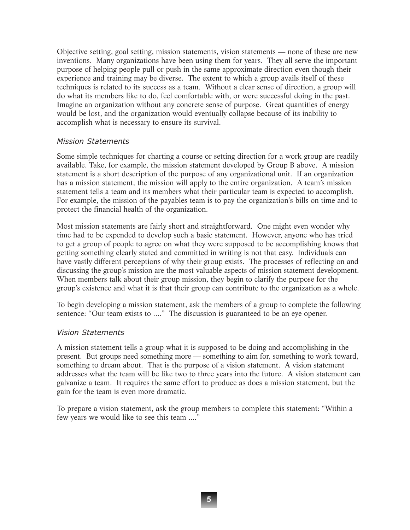Objective setting, goal setting, mission statements, vision statements — none of these are new inventions. Many organizations have been using them for years. They all serve the important purpose of helping people pull or push in the same approximate direction even though their experience and training may be diverse. The extent to which a group avails itself of these techniques is related to its success as a team. Without a clear sense of direction, a group will do what its members like to do, feel comfortable with, or were successful doing in the past. Imagine an organization without any concrete sense of purpose. Great quantities of energy would be lost, and the organization would eventually collapse because of its inability to accomplish what is necessary to ensure its survival.

## Mission Statements

Some simple techniques for charting a course or setting direction for a work group are readily available. Take, for example, the mission statement developed by Group B above. A mission statement is a short description of the purpose of any organizational unit. If an organization has a mission statement, the mission will apply to the entire organization. A team's mission statement tells a team and its members what their particular team is expected to accomplish. For example, the mission of the payables team is to pay the organization's bills on time and to protect the financial health of the organization.

Most mission statements are fairly short and straightforward. One might even wonder why time had to be expended to develop such a basic statement. However, anyone who has tried to get a group of people to agree on what they were supposed to be accomplishing knows that getting something clearly stated and committed in writing is not that easy. Individuals can have vastly different perceptions of why their group exists. The processes of reflecting on and discussing the group's mission are the most valuable aspects of mission statement development. When members talk about their group mission, they begin to clarify the purpose for the group's existence and what it is that their group can contribute to the organization as a whole.

To begin developing a mission statement, ask the members of a group to complete the following sentence: "Our team exists to ...." The discussion is guaranteed to be an eye opener.

## Vision Statements

A mission statement tells a group what it is supposed to be doing and accomplishing in the present. But groups need something more — something to aim for, something to work toward, something to dream about. That is the purpose of a vision statement. A vision statement addresses what the team will be like two to three years into the future. A vision statement can galvanize a team. It requires the same effort to produce as does a mission statement, but the gain for the team is even more dramatic.

To prepare a vision statement, ask the group members to complete this statement: "Within a few years we would like to see this team ...."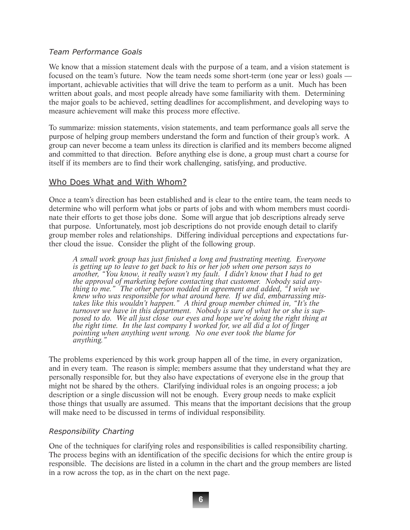## Team Performance Goals

We know that a mission statement deals with the purpose of a team, and a vision statement is focused on the team's future. Now the team needs some short-term (one year or less) goals important, achievable activities that will drive the team to perform as a unit. Much has been written about goals, and most people already have some familiarity with them. Determining the major goals to be achieved, setting deadlines for accomplishment, and developing ways to measure achievement will make this process more effective.

To summarize: mission statements, vision statements, and team performance goals all serve the purpose of helping group members understand the form and function of their group's work. A group can never become a team unless its direction is clarified and its members become aligned and committed to that direction. Before anything else is done, a group must chart a course for itself if its members are to find their work challenging, satisfying, and productive.

## Who Does What and With Whom?

Once a team's direction has been established and is clear to the entire team, the team needs to determine who will perform what jobs or parts of jobs and with whom members must coordinate their efforts to get those jobs done. Some will argue that job descriptions already serve that purpose. Unfortunately, most job descriptions do not provide enough detail to clarify group member roles and relationships. Differing individual perceptions and expectations further cloud the issue. Consider the plight of the following group.

*A small work group has just finished a long and frustrating meeting. Everyone is getting up to leave to get back to his or her job when one person says to another, "You know, it really wasn't my fault. I didn't know that I had to get the approval of marketing before contacting that customer. Nobody said anything to me." The other person nodded in agreement and added, "I wish we knew who was responsible for what around here. If we did, embarrassing mistakes like this wouldn't happen." A third group member chimed in, "It's the turnover we have in this department. Nobody is sure of what he or she is supposed to do. We all just close our eyes and hope we're doing the right thing at the right time. In the last company I worked for, we all did a lot of finger pointing when anything went wrong. No one ever took the blame for anything."*

The problems experienced by this work group happen all of the time, in every organization, and in every team. The reason is simple; members assume that they understand what they are personally responsible for, but they also have expectations of everyone else in the group that might not be shared by the others. Clarifying individual roles is an ongoing process; a job description or a single discussion will not be enough. Every group needs to make explicit those things that usually are assumed. This means that the important decisions that the group will make need to be discussed in terms of individual responsibility.

## Responsibility Charting

One of the techniques for clarifying roles and responsibilities is called responsibility charting. The process begins with an identification of the specific decisions for which the entire group is responsible. The decisions are listed in a column in the chart and the group members are listed in a row across the top, as in the chart on the next page.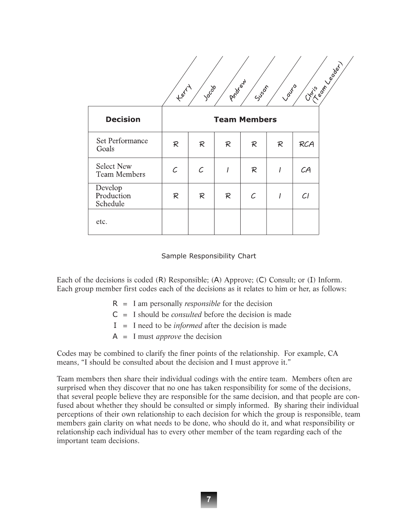|                                          | $t^{\varrho^{\mathcal{C}^{\mathcal{C}^{\mathcal{C}}}}$ | Jocob | Proteiral | Suson | <b>Laure</b> | Critics of Magazine |
|------------------------------------------|--------------------------------------------------------|-------|-----------|-------|--------------|---------------------|
| <b>Decision</b>                          | <b>Team Members</b>                                    |       |           |       |              |                     |
| Set Performance<br>Goals                 | R                                                      | R     | R         | R     | R            | <b>RCA</b>          |
| <b>Select New</b><br><b>Team Members</b> | C                                                      | C     |           | R     |              | CA                  |
| Develop<br>Production<br>Schedule        | R                                                      | R     | R         | С     |              | Cl                  |
| etc.                                     |                                                        |       |           |       |              |                     |

#### Sample Responsibility Chart

Each of the decisions is coded (R) Responsible; (A) Approve; (C) Consult; or (I) Inform. Each group member first codes each of the decisions as it relates to him or her, as follows:

- R = I am personally *responsible* for the decision
- C = I should be *consulted* before the decision is made
- I = I need to be *informed* after the decision is made
- A = I must *approve* the decision

Codes may be combined to clarify the finer points of the relationship. For example, CA means, "I should be consulted about the decision and I must approve it."

Team members then share their individual codings with the entire team. Members often are surprised when they discover that no one has taken responsibility for some of the decisions, that several people believe they are responsible for the same decision, and that people are confused about whether they should be consulted or simply informed. By sharing their individual perceptions of their own relationship to each decision for which the group is responsible, team members gain clarity on what needs to be done, who should do it, and what responsibility or relationship each individual has to every other member of the team regarding each of the important team decisions.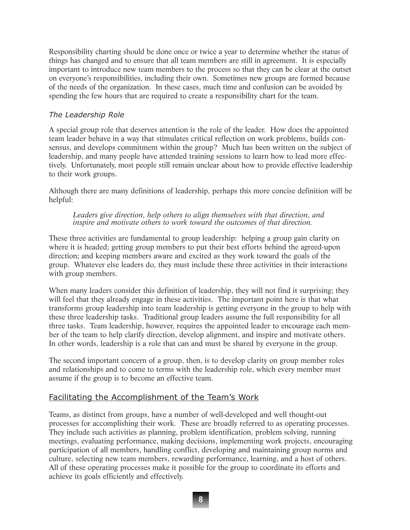Responsibility charting should be done once or twice a year to determine whether the status of things has changed and to ensure that all team members are still in agreement. It is especially important to introduce new team members to the process so that they can be clear at the outset on everyone's responsibilities, including their own. Sometimes new groups are formed because of the needs of the organization. In these cases, much time and confusion can be avoided by spending the few hours that are required to create a responsibility chart for the team.

## The Leadership Role

A special group role that deserves attention is the role of the leader. How does the appointed team leader behave in a way that stimulates critical reflection on work problems, builds consensus, and develops commitment within the group? Much has been written on the subject of leadership, and many people have attended training sessions to learn how to lead more effectively. Unfortunately, most people still remain unclear about how to provide effective leadership to their work groups.

Although there are many definitions of leadership, perhaps this more concise definition will be helpful:

*Leaders give direction, help others to align themselves with that direction, and inspire and motivate others to work toward the outcomes of that direction.*

These three activities are fundamental to group leadership: helping a group gain clarity on where it is headed; getting group members to put their best efforts behind the agreed-upon direction; and keeping members aware and excited as they work toward the goals of the group. Whatever else leaders do, they must include these three activities in their interactions with group members.

When many leaders consider this definition of leadership, they will not find it surprising; they will feel that they already engage in these activities. The important point here is that what transforms group leadership into team leadership is getting everyone in the group to help with these three leadership tasks. Traditional group leaders assume the full responsibility for all three tasks. Team leadership, however, requires the appointed leader to encourage each member of the team to help clarify direction, develop alignment, and inspire and motivate others. In other words, leadership is a role that can and must be shared by everyone in the group.

The second important concern of a group, then, is to develop clarity on group member roles and relationships and to come to terms with the leadership role, which every member must assume if the group is to become an effective team.

## Facilitating the Accomplishment of the Team's Work

Teams, as distinct from groups, have a number of well-developed and well thought-out processes for accomplishing their work. These are broadly referred to as operating processes. They include such activities as planning, problem identification, problem solving, running meetings, evaluating performance, making decisions, implementing work projects, encouraging participation of all members, handling conflict, developing and maintaining group norms and culture, selecting new team members, rewarding performance, learning, and a host of others. All of these operating processes make it possible for the group to coordinate its efforts and achieve its goals efficiently and effectively.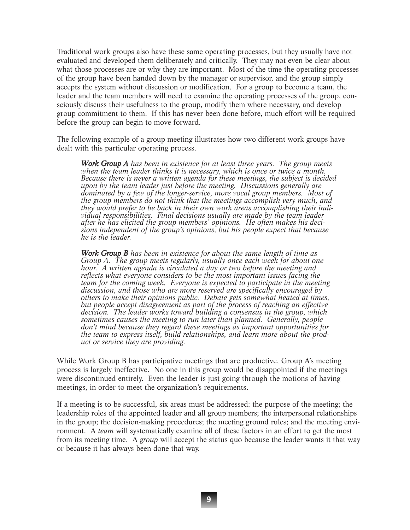Traditional work groups also have these same operating processes, but they usually have not evaluated and developed them deliberately and critically. They may not even be clear about what those processes are or why they are important. Most of the time the operating processes of the group have been handed down by the manager or supervisor, and the group simply accepts the system without discussion or modification. For a group to become a team, the leader and the team members will need to examine the operating processes of the group, consciously discuss their usefulness to the group, modify them where necessary, and develop group commitment to them. If this has never been done before, much effort will be required before the group can begin to move forward.

The following example of a group meeting illustrates how two different work groups have dealt with this particular operating process.

*Work Group A has been in existence for at least three years. The group meets when the team leader thinks it is necessary, which is once or twice a month. Because there is never a written agenda for these meetings, the subject is decided upon by the team leader just before the meeting. Discussions generally are dominated by a few of the longer-service, more vocal group members. Most of the group members do not think that the meetings accomplish very much, and they would prefer to be back in their own work areas accomplishing their individual responsibilities. Final decisions usually are made by the team leader after he has elicited the group members' opinions. He often makes his decisions independent of the group's opinions, but his people expect that because he is the leader.* 

*Work Group B has been in existence for about the same length of time as Group A. The group meets regularly, usually once each week for about one hour. A written agenda is circulated a day or two before the meeting and reflects what everyone considers to be the most important issues facing the team for the coming week. Everyone is expected to participate in the meeting discussion, and those who are more reserved are specifically encouraged by others to make their opinions public. Debate gets somewhat heated at times, but people accept disagreement as part of the process of reaching an effective decision. The leader works toward building a consensus in the group, which sometimes causes the meeting to run later than planned. Generally, people don't mind because they regard these meetings as important opportunities for the team to express itself, build relationships, and learn more about the product or service they are providing.*

While Work Group B has participative meetings that are productive, Group A's meeting process is largely ineffective. No one in this group would be disappointed if the meetings were discontinued entirely. Even the leader is just going through the motions of having meetings, in order to meet the organization's requirements.

If a meeting is to be successful, six areas must be addressed: the purpose of the meeting; the leadership roles of the appointed leader and all group members; the interpersonal relationships in the group; the decision-making procedures; the meeting ground rules; and the meeting environment. A *team* will systematically examine all of these factors in an effort to get the most from its meeting time. A *group* will accept the status quo because the leader wants it that way or because it has always been done that way.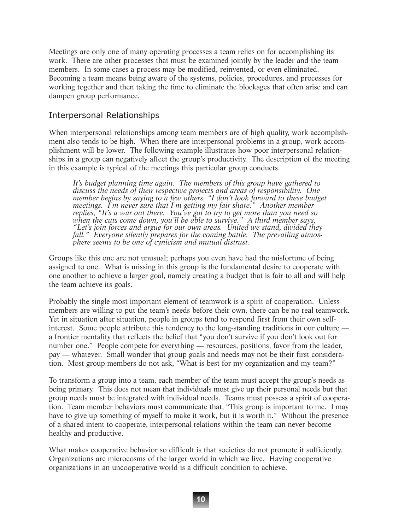Meetings are only one of many operating processes a team relies on for accomplishing its work. There are other processes that must be examined jointly by the leader and the team members. In some cases a process may be modified, reinvented, or even eliminated. Becoming a team means being aware of the systems, policies, procedures, and processes for working together and then taking the time to eliminate the blockages that often arise and can dampen group performance.

## Interpersonal Relationships

When interpersonal relationships among team members are of high quality, work accomplishment also tends to be high. When there are interpersonal problems in a group, work accomplishment will be lower. The following example illustrates how poor interpersonal relationships in a group can negatively affect the group's productivity. The description of the meeting in this example is typical of the meetings this particular group conducts.

*It's budget planning time again. The members of this group have gathered to discuss the needs of their respective projects and areas of responsibility. One member begins by saying to a few others, "I don't look forward to these budget meetings. I'm never sure that I'm getting my fair share." Another member replies, "It's a war out there. You've got to try to get more than you need so when the cuts come down, you'll be able to survive." A third member says, "Let's join forces and argue for our own areas. United we stand, divided they fall." Everyone silently prepares for the coming battle. The prevailing atmosphere seems to be one of cynicism and mutual distrust.* 

Groups like this one are not unusual; perhaps you even have had the misfortune of being assigned to one. What is missing in this group is the fundamental desire to cooperate with one another to achieve a larger goal, namely creating a budget that is fair to all and will help the team achieve its goals.

Probably the single most important element of teamwork is a spirit of cooperation. Unless members are willing to put the team's needs before their own, there can be no real teamwork. Yet in situation after situation, people in groups tend to respond first from their own selfinterest. Some people attribute this tendency to the long-standing traditions in our culture a frontier mentality that reflects the belief that "you don't survive if you don't look out for number one." People compete for everything — resources, positions, favor from the leader, pay — whatever. Small wonder that group goals and needs may not be their first consideration. Most group members do not ask, "What is best for my organization and my team?"

To transform a group into a team, each member of the team must accept the group's needs as being primary. This does not mean that individuals must give up their personal needs but that group needs must be integrated with individual needs. Teams must possess a spirit of cooperation. Team member behaviors must communicate that, "This group is important to me. I may have to give up something of myself to make it work, but it is worth it." Without the presence of a shared intent to cooperate, interpersonal relations within the team can never become healthy and productive.

What makes cooperative behavior so difficult is that societies do not promote it sufficiently. Organizations are microcosms of the larger world in which we live. Having cooperative organizations in an uncooperative world is a difficult condition to achieve.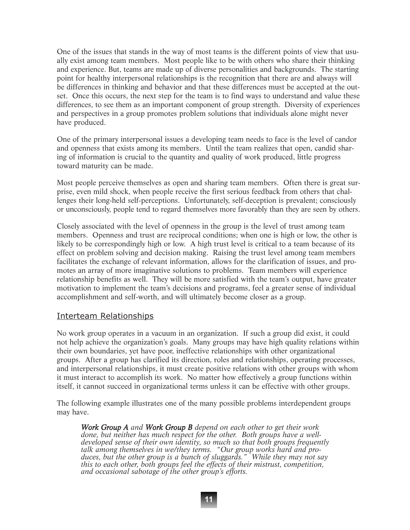One of the issues that stands in the way of most teams is the different points of view that usually exist among team members. Most people like to be with others who share their thinking and experience. But, teams are made up of diverse personalities and backgrounds. The starting point for healthy interpersonal relationships is the recognition that there are and always will be differences in thinking and behavior and that these differences must be accepted at the outset. Once this occurs, the next step for the team is to find ways to understand and value these differences, to see them as an important component of group strength. Diversity of experiences and perspectives in a group promotes problem solutions that individuals alone might never have produced.

One of the primary interpersonal issues a developing team needs to face is the level of candor and openness that exists among its members. Until the team realizes that open, candid sharing of information is crucial to the quantity and quality of work produced, little progress toward maturity can be made.

Most people perceive themselves as open and sharing team members. Often there is great surprise, even mild shock, when people receive the first serious feedback from others that challenges their long-held self-perceptions. Unfortunately, self-deception is prevalent; consciously or unconsciously, people tend to regard themselves more favorably than they are seen by others.

Closely associated with the level of openness in the group is the level of trust among team members. Openness and trust are reciprocal conditions; when one is high or low, the other is likely to be correspondingly high or low. A high trust level is critical to a team because of its effect on problem solving and decision making. Raising the trust level among team members facilitates the exchange of relevant information, allows for the clarification of issues, and promotes an array of more imaginative solutions to problems. Team members will experience relationship benefits as well. They will be more satisfied with the team's output, have greater motivation to implement the team's decisions and programs, feel a greater sense of individual accomplishment and self-worth, and will ultimately become closer as a group.

## Interteam Relationships

No work group operates in a vacuum in an organization. If such a group did exist, it could not help achieve the organization's goals. Many groups may have high quality relations within their own boundaries, yet have poor, ineffective relationships with other organizational groups. After a group has clarified its direction, roles and relationships, operating processes, and interpersonal relationships, it must create positive relations with other groups with whom it must interact to accomplish its work. No matter how effectively a group functions within itself, it cannot succeed in organizational terms unless it can be effective with other groups.

The following example illustrates one of the many possible problems interdependent groups may have.

*Work Group A and Work Group B depend on each other to get their work done, but neither has much respect for the other. Both groups have a welldeveloped sense of their own identity, so much so that both groups frequently talk among themselves in we/they terms. "Our group works hard and produces, but the other group is a bunch of sluggards." While they may not say this to each other, both groups feel the effects of their mistrust, competition, and occasional sabotage of the other group's efforts.*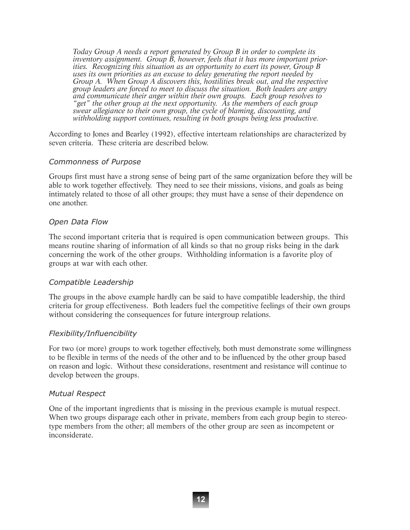*Today Group A needs a report generated by Group B in order to complete its inventory assignment. Group B, however, feels that it has more important priorities. Recognizing this situation as an opportunity to exert its power, Group B uses its own priorities as an excuse to delay generating the report needed by Group A. When Group A discovers this, hostilities break out, and the respective group leaders are forced to meet to discuss the situation. Both leaders are angry and communicate their anger within their own groups. Each group resolves to "get" the other group at the next opportunity. As the members of each group swear allegiance to their own group, the cycle of blaming, discounting, and withholding support continues, resulting in both groups being less productive.*

According to Jones and Bearley (1992), effective interteam relationships are characterized by seven criteria. These criteria are described below.

### Commonness of Purpose

Groups first must have a strong sense of being part of the same organization before they will be able to work together effectively. They need to see their missions, visions, and goals as being intimately related to those of all other groups; they must have a sense of their dependence on one another.

### Open Data Flow

The second important criteria that is required is open communication between groups. This means routine sharing of information of all kinds so that no group risks being in the dark concerning the work of the other groups. Withholding information is a favorite ploy of groups at war with each other.

## Compatible Leadership

The groups in the above example hardly can be said to have compatible leadership, the third criteria for group effectiveness. Both leaders fuel the competitive feelings of their own groups without considering the consequences for future intergroup relations.

## Flexibility/Influencibility

For two (or more) groups to work together effectively, both must demonstrate some willingness to be flexible in terms of the needs of the other and to be influenced by the other group based on reason and logic. Without these considerations, resentment and resistance will continue to develop between the groups.

#### Mutual Respect

One of the important ingredients that is missing in the previous example is mutual respect. When two groups disparage each other in private, members from each group begin to stereotype members from the other; all members of the other group are seen as incompetent or inconsiderate.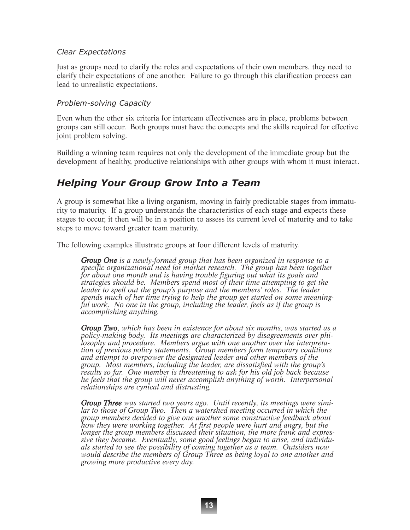## Clear Expectations

Just as groups need to clarify the roles and expectations of their own members, they need to clarify their expectations of one another. Failure to go through this clarification process can lead to unrealistic expectations.

## Problem-solving Capacity

Even when the other six criteria for interteam effectiveness are in place, problems between groups can still occur. Both groups must have the concepts and the skills required for effective joint problem solving.

Building a winning team requires not only the development of the immediate group but the development of healthy, productive relationships with other groups with whom it must interact.

## Helping Your Group Grow Into a Team

A group is somewhat like a living organism, moving in fairly predictable stages from immaturity to maturity. If a group understands the characteristics of each stage and expects these stages to occur, it then will be in a position to assess its current level of maturity and to take steps to move toward greater team maturity.

The following examples illustrate groups at four different levels of maturity.

*Group One is a newly-formed group that has been organized in response to a specific organizational need for market research. The group has been together for about one month and is having trouble figuring out what its goals and strategies should be. Members spend most of their time attempting to get the leader to spell out the group's purpose and the members' roles. The leader spends much of her time trying to help the group get started on some meaningful work. No one in the group, including the leader, feels as if the group is accomplishing anything.*

*Group Two, which has been in existence for about six months, was started as a policy-making body. Its meetings are characterized by disagreements over philosophy and procedure. Members argue with one another over the interpretation of previous policy statements. Group members form temporary coalitions and attempt to overpower the designated leader and other members of the group. Most members, including the leader, are dissatisfied with the group's results so far. One member is threatening to ask for his old job back because he feels that the group will never accomplish anything of worth. Interpersonal relationships are cynical and distrusting.*

*Group Three was started two years ago. Until recently, its meetings were similar to those of Group Two. Then a watershed meeting occurred in which the group members decided to give one another some constructive feedback about how they were working together. At first people were hurt and angry, but the longer the group members discussed their situation, the more frank and expressive they became. Eventually, some good feelings began to arise, and individuals started to see the possibility of coming together as a team. Outsiders now would describe the members of Group Three as being loyal to one another and growing more productive every day.*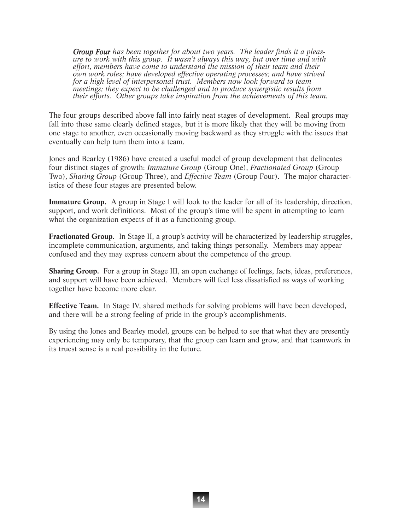*Group Four has been together for about two years. The leader finds it a pleasure to work with this group. It wasn't always this way, but over time and with effort, members have come to understand the mission of their team and their own work roles; have developed effective operating processes; and have strived for a high level of interpersonal trust. Members now look forward to team meetings; they expect to be challenged and to produce synergistic results from their efforts. Other groups take inspiration from the achievements of this team.*

The four groups described above fall into fairly neat stages of development. Real groups may fall into these same clearly defined stages, but it is more likely that they will be moving from one stage to another, even occasionally moving backward as they struggle with the issues that eventually can help turn them into a team.

Jones and Bearley (1986) have created a useful model of group development that delineates four distinct stages of growth: *Immature Group* (Group One), *Fractionated Group* (Group Two), *Sharing Group* (Group Three), and *Effective Team* (Group Four). The major characteristics of these four stages are presented below.

**Immature Group.** A group in Stage I will look to the leader for all of its leadership, direction, support, and work definitions. Most of the group's time will be spent in attempting to learn what the organization expects of it as a functioning group.

**Fractionated Group.** In Stage II, a group's activity will be characterized by leadership struggles, incomplete communication, arguments, and taking things personally. Members may appear confused and they may express concern about the competence of the group.

**Sharing Group.** For a group in Stage III, an open exchange of feelings, facts, ideas, preferences, and support will have been achieved. Members will feel less dissatisfied as ways of working together have become more clear.

**Effective Team.** In Stage IV, shared methods for solving problems will have been developed, and there will be a strong feeling of pride in the group's accomplishments.

By using the Jones and Bearley model, groups can be helped to see that what they are presently experiencing may only be temporary, that the group can learn and grow, and that teamwork in its truest sense is a real possibility in the future.